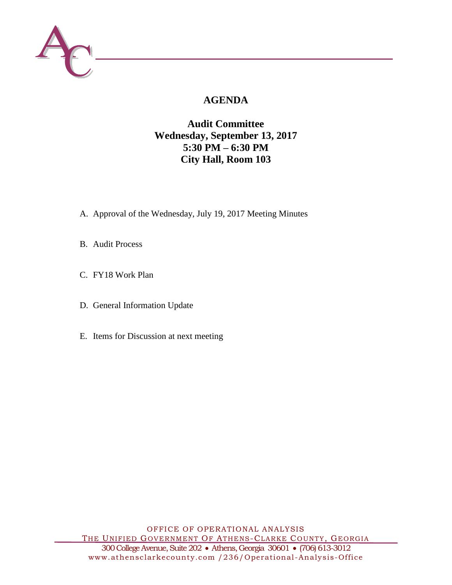

# **AGENDA**

## **Audit Committee Wednesday, September 13, 2017 5:30 PM – 6:30 PM City Hall, Room 103**

- A. Approval of the Wednesday, July 19, 2017 Meeting Minutes
- B. Audit Process
- C. FY18 Work Plan
- D. General Information Update
- E. Items for Discussion at next meeting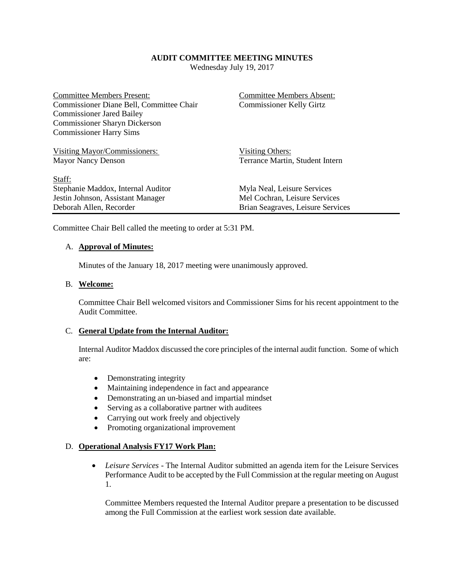#### **AUDIT COMMITTEE MEETING MINUTES**

Wednesday July 19, 2017

| <b>Committee Members Present:</b><br>Commissioner Diane Bell, Committee Chair<br><b>Commissioner Jared Bailey</b><br><b>Commissioner Sharyn Dickerson</b><br><b>Commissioner Harry Sims</b> | <b>Committee Members Absent:</b><br><b>Commissioner Kelly Girtz</b>                               |
|---------------------------------------------------------------------------------------------------------------------------------------------------------------------------------------------|---------------------------------------------------------------------------------------------------|
| Visiting Mayor/Commissioners:<br><b>Mayor Nancy Denson</b>                                                                                                                                  | Visiting Others:<br>Terrance Martin, Student Intern                                               |
| Staff:<br>Stephanie Maddox, Internal Auditor<br>Jestin Johnson, Assistant Manager<br>Deborah Allen, Recorder                                                                                | Myla Neal, Leisure Services<br>Mel Cochran, Leisure Services<br>Brian Seagraves, Leisure Services |

Committee Chair Bell called the meeting to order at 5:31 PM.

#### A. **Approval of Minutes:**

Minutes of the January 18, 2017 meeting were unanimously approved.

## B. **Welcome:**

Committee Chair Bell welcomed visitors and Commissioner Sims for his recent appointment to the Audit Committee.

#### C. **General Update from the Internal Auditor:**

Internal Auditor Maddox discussed the core principles of the internal audit function. Some of which are:

- Demonstrating integrity
- Maintaining independence in fact and appearance
- Demonstrating an un-biased and impartial mindset
- Serving as a collaborative partner with auditees
- Carrying out work freely and objectively
- Promoting organizational improvement

### D. **Operational Analysis FY17 Work Plan:**

 *Leisure Services* - The Internal Auditor submitted an agenda item for the Leisure Services Performance Audit to be accepted by the Full Commission at the regular meeting on August 1.

Committee Members requested the Internal Auditor prepare a presentation to be discussed among the Full Commission at the earliest work session date available.